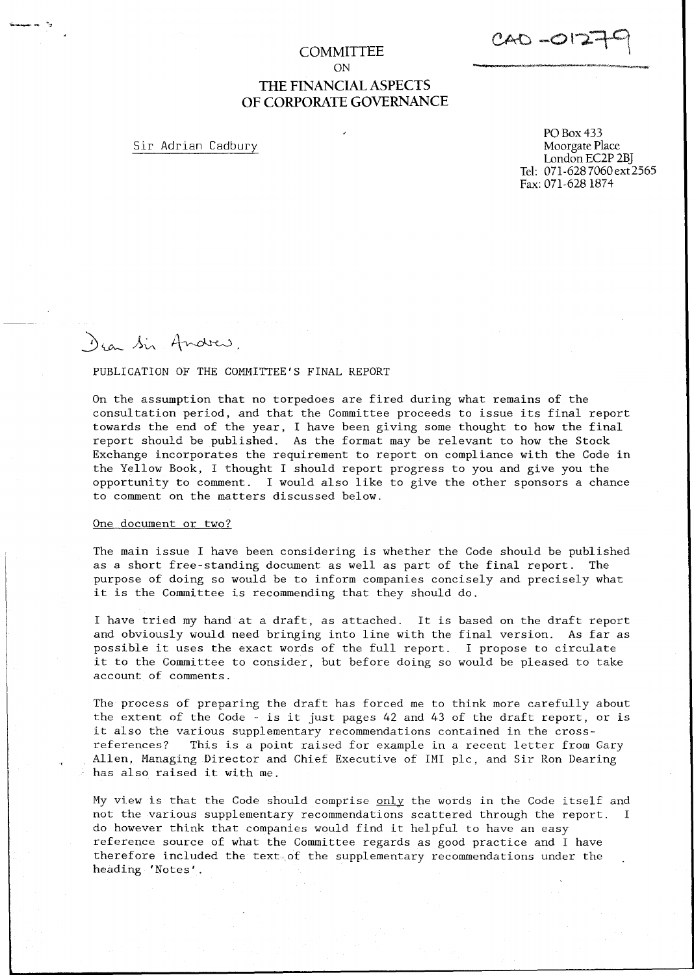$CAO - O 12$ 

## **COMMITTEE** ON **THE FINANCIAL ASPECTS** OF CORPORATE GOVERNANCE

Sir Adrian Cadbury

PO Box 433 Moorgate Place London EC2P 2B] Tel: 071-6287060ext2565 Fax: 071-628 1874

# Dear Sir Andrew.

#### PUBLICATION OF THE COMMITTEE'S FINAL REPORT

On the assumption that no torpedoes are fired during what remains of the consultation period, and that the Committee proceeds to issue its final report towards the end of the year, I have been giving some thought to how the final report should be published. As the format may be relevant to how the Stock Exchange incorporates the requirement to report on compliance with the Code in the Yellow Book, I thought I should report progress to you and give you the opportunity to comment. I would also like to give the other sponsors a chance to comment on the matters discussed below.

#### One document or two?

The main issue I have been considering is whether the Code should be published as a short free-standing document as well as part of the final report. The purpose of doing so would be to inform companies concisely and precisely what it is the Committee is recommending that they should do.

I have tried my hand at a draft, as attached. It is based on the draft report and obviously would need bringing into line with the final version. As far as possible it uses the exact words of the full report.  $\:$  I propose to circulat $\,$ it to the Committee to consider, but before doing so would be pleased to take account of comments.

The process of preparing the draft has forced me to think more carefully about the extent of the Code - is it just pages 42 and 43 of the draft report, or is it also the various supplementary recommendations contained in the crossreferences? This is a point raised for example in a recent letter from Gary Allen, Managing Director and Chief Executive of IMI plc, and Sir Ron Dearing has also raised it with me.

My view is that the Code should comprise only the words in the Code itself and not the various supplementary recommendations scattered through the report. I do however think that companies would find it helpful to have an easy reference source of what the Committee regards as good practice and I have therefore included the text of the supplementary recommendations under the heading 'Notes'.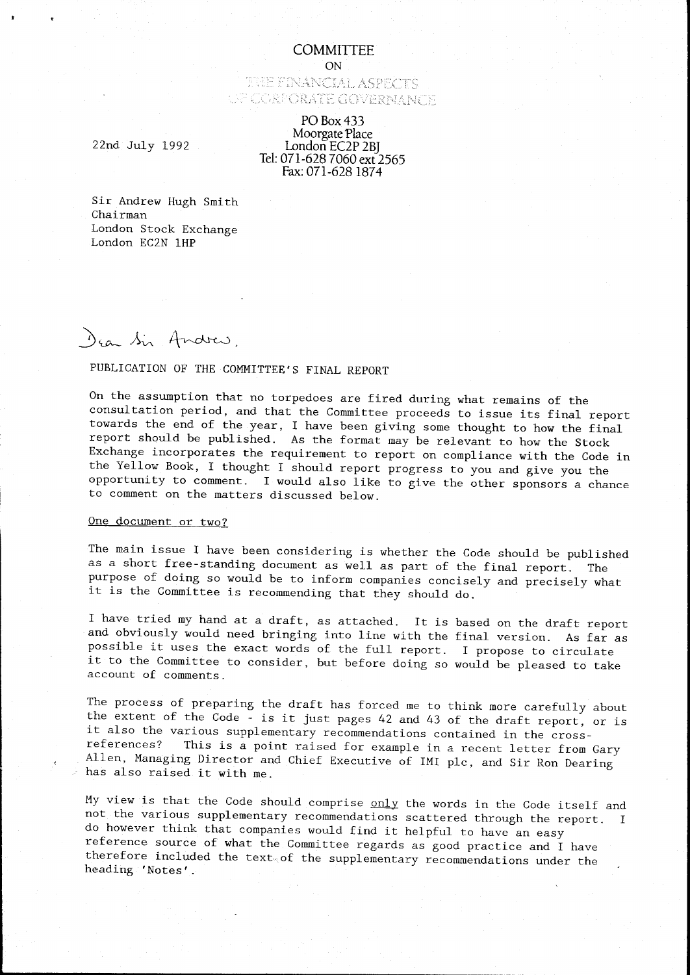#### **COMMITTEE**

ON

## THE FINANCIAL ASPECTS UF CORPORATE GOVERNANCE

#### PO Box 433 Moorgate Place London EC2P 2B] Tel:071-628 7060 ext 2565 Fax:071-6281874

22nd July 1992

Sir Andrew Hugh Smith Chairman London Stock Exchange London EC2N lHP

Dear Sir Andres.

# PUBLICATION OF THE COMMITTEE'S FINAL REPORT

On the assumption that no torpedoes are fired during what remains of the consultation period, and that the Committee proceeds to issue its final report towards the end of the year, I have been giving some thought to how the final report should be published. As the format may be relevant to how the Stock Exchange incorporates the requirement to report on compliance with the Code in the Yellow Book, I thought I should report progress to you and give you the opportunity to comment. I would also like to give the other sponsors a chance to comment on the matters discussed below.

## One document or two?

The main issue I have been considering is whether the Code should be published as a short free-standing document as well as part of the final report. The purpose of doing so would be to inform companies concisely and precisely what it is the Committee is recommending that they should do.

I have tried my hand at a draft, as attached. It is based on the draft report and obviously would need bringing into line with the final version. As far as possible it uses the exact words of the full report. I propose to circulat it to the Committee to consider, but before doing so would be pleased to take account of comments.

The process of preparing the draft has forced me to think more carefully about the extent of the Code - is it just pages 42 and 43 of the draft report, or is it also the various supplementary recommendations contained in the cross-<br>references? This is a point raised for example in a recent letter from This is a point raised for example in a recent letter from Gary Allen, Managing Director and Chief Executive of IMI pic, and Sir Ron Dearing has also raised it with me.

My view is that the Code should comprise only the words in the Code itself and not the various supplementary recommendations scattered through the report. I do however think that companies would find it helpful to have an easy reference source of what the Committee regards as good practice and I have therefore included the text of the supplementary recommendations under the heading 'Notes'.